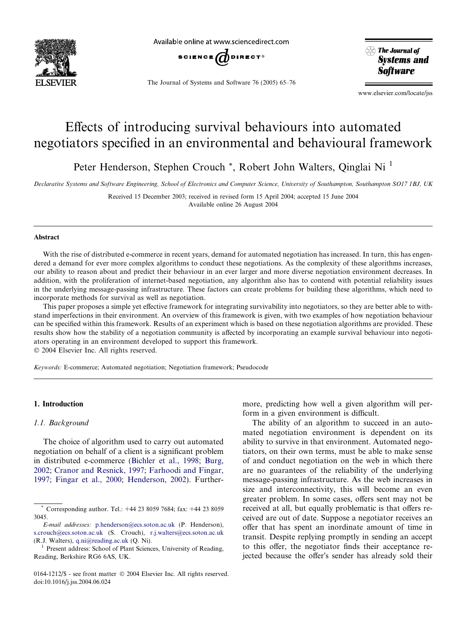

Available online at www.sciencedirect.com



The Journal of Systems and Software 76 (2005) 65–76

 $\otimes$  The Journal of **Systems and Software** 

www.elsevier.com/locate/jss

# Effects of introducing survival behaviours into automated negotiators specified in an environmental and behavioural framework

Peter Henderson, Stephen Crouch \*, Robert John Walters, Qinglai Ni <sup>1</sup>

Declarative Systems and Software Engineering, School of Electronics and Computer Science, University of Southampton, Southampton SO17 1BJ, UK

Received 15 December 2003; received in revised form 15 April 2004; accepted 15 June 2004 Available online 26 August 2004

#### Abstract

With the rise of distributed e-commerce in recent years, demand for automated negotiation has increased. In turn, this has engendered a demand for ever more complex algorithms to conduct these negotiations. As the complexity of these algorithms increases, our ability to reason about and predict their behaviour in an ever larger and more diverse negotiation environment decreases. In addition, with the proliferation of internet-based negotiation, any algorithm also has to contend with potential reliability issues in the underlying message-passing infrastructure. These factors can create problems for building these algorithms, which need to incorporate methods for survival as well as negotiation.

This paper proposes a simple yet effective framework for integrating survivability into negotiators, so they are better able to withstand imperfections in their environment. An overview of this framework is given, with two examples of how negotiation behaviour can be specified within this framework. Results of an experiment which is based on these negotiation algorithms are provided. These results show how the stability of a negotiation community is affected by incorporating an example survival behaviour into negotiators operating in an environment developed to support this framework. 2004 Elsevier Inc. All rights reserved.

Keywords: E-commerce; Automated negotiation; Negotiation framework; Pseudocode

## 1. Introduction

## 1.1. Background

The choice of algorithm used to carry out automated negotiation on behalf of a client is a significant problem in distributed e-commerce [\(Bichler et al., 1998](#page-11-0); [Burg,](#page-11-0) [2002](#page-11-0); [Cranor and Resnick, 1997;](#page-11-0) [Farhoodi and Fingar,](#page-11-0) [1997](#page-11-0); [Fingar et al., 2000](#page-11-0); [Henderson, 2002\)](#page-11-0). Furthermore, predicting how well a given algorithm will perform in a given environment is difficult.

The ability of an algorithm to succeed in an automated negotiation environment is dependent on its ability to survive in that environment. Automated negotiators, on their own terms, must be able to make sense of and conduct negotiation on the web in which there are no guarantees of the reliability of the underlying message-passing infrastructure. As the web increases in size and interconnectivity, this will become an even greater problem. In some cases, offers sent may not be received at all, but equally problematic is that offers received are out of date. Suppose a negotiator receives an offer that has spent an inordinate amount of time in transit. Despite replying promptly in sending an accept to this offer, the negotiator finds their acceptance rejected because the offer's sender has already sold their

<sup>\*</sup> Corresponding author. Tel.: +44 23 8059 7684; fax: +44 23 8059 3045.

E-mail addresses: [p.henderson@ecs.soton.ac.uk](mailto:p.henderson@ecs.soton.ac.uk ) (P. Henderson), [s.crouch@ecs.soton.ac.uk](mailto:s.crouch@ecs.soton.ac.uk ) (S. Crouch), [r.j.walters@ecs.soton.ac.uk](mailto:r.j.walters@ecs.soton.ac.uk ) (R.J. Walters), [q.ni@reading.ac.uk](mailto:q.ni@reading.ac.uk ) (Q. Ni).<br><sup>1</sup> Present address: School of Plant Sciences, University of Reading,

Reading, Berkshire RG6 6AS, UK.

<sup>0164-1212/\$ -</sup> see front matter © 2004 Elsevier Inc. All rights reserved. doi:10.1016/j.jss.2004.06.024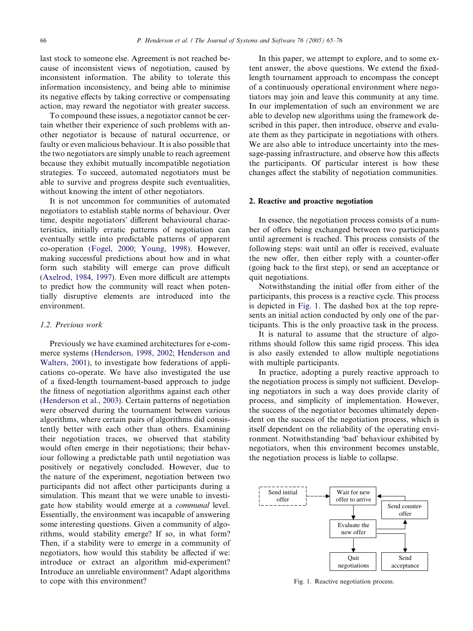last stock to someone else. Agreement is not reached because of inconsistent views of negotiation, caused by inconsistent information. The ability to tolerate this information inconsistency, and being able to minimise its negative effects by taking corrective or compensating action, may reward the negotiator with greater success.

To compound these issues, a negotiator cannot be certain whether their experience of such problems with another negotiator is because of natural occurrence, or faulty or even malicious behaviour. It is also possible that the two negotiators are simply unable to reach agreement because they exhibit mutually incompatible negotiation strategies. To succeed, automated negotiators must be able to survive and progress despite such eventualities, without knowing the intent of other negotiators.

It is not uncommon for communities of automated negotiators to establish stable norms of behaviour. Over time, despite negotiators' different behavioural characteristics, initially erratic patterns of negotiation can eventually settle into predictable patterns of apparent co-operation ([Fogel, 2000](#page-11-0); [Young, 1998](#page-11-0)). However, making successful predictions about how and in what form such stability will emerge can prove difficult ([Axelrod, 1984, 1997\)](#page-11-0). Even more difficult are attempts to predict how the community will react when potentially disruptive elements are introduced into the environment.

## 1.2. Previous work

Previously we have examined architectures for e-commerce systems [\(Henderson, 1998, 2002](#page-11-0); [Henderson and](#page-11-0) [Walters, 2001\)](#page-11-0), to investigate how federations of applications co-operate. We have also investigated the use of a fixed-length tournament-based approach to judge the fitness of negotiation algorithms against each other ([Henderson et al., 2003](#page-11-0)). Certain patterns of negotiation were observed during the tournament between various algorithms, where certain pairs of algorithms did consistently better with each other than others. Examining their negotiation traces, we observed that stability would often emerge in their negotiations; their behaviour following a predictable path until negotiation was positively or negatively concluded. However, due to the nature of the experiment, negotiation between two participants did not affect other participants during a simulation. This meant that we were unable to investigate how stability would emerge at a communal level. Essentially, the environment was incapable of answering some interesting questions. Given a community of algorithms, would stability emerge? If so, in what form? Then, if a stability were to emerge in a community of negotiators, how would this stability be affected if we: introduce or extract an algorithm mid-experiment? Introduce an unreliable environment? Adapt algorithms to cope with this environment?

In this paper, we attempt to explore, and to some extent answer, the above questions. We extend the fixedlength tournament approach to encompass the concept of a continuously operational environment where negotiators may join and leave this community at any time. In our implementation of such an environment we are able to develop new algorithms using the framework described in this paper, then introduce, observe and evaluate them as they participate in negotiations with others. We are also able to introduce uncertainty into the message-passing infrastructure, and observe how this affects the participants. Of particular interest is how these changes affect the stability of negotiation communities.

## 2. Reactive and proactive negotiation

In essence, the negotiation process consists of a number of offers being exchanged between two participants until agreement is reached. This process consists of the following steps: wait until an offer is received, evaluate the new offer, then either reply with a counter-offer (going back to the first step), or send an acceptance or quit negotiations.

Notwithstanding the initial offer from either of the participants, this process is a reactive cycle. This process is depicted in Fig. 1. The dashed box at the top represents an initial action conducted by only one of the participants. This is the only proactive task in the process.

It is natural to assume that the structure of algorithms should follow this same rigid process. This idea is also easily extended to allow multiple negotiations with multiple participants.

In practice, adopting a purely reactive approach to the negotiation process is simply not sufficient. Developing negotiators in such a way does provide clarity of process, and simplicity of implementation. However, the success of the negotiator becomes ultimately dependent on the success of the negotiation process, which is itself dependent on the reliability of the operating environment. Notwithstanding 'bad' behaviour exhibited by negotiators, when this environment becomes unstable, the negotiation process is liable to collapse.



Fig. 1. Reactive negotiation process.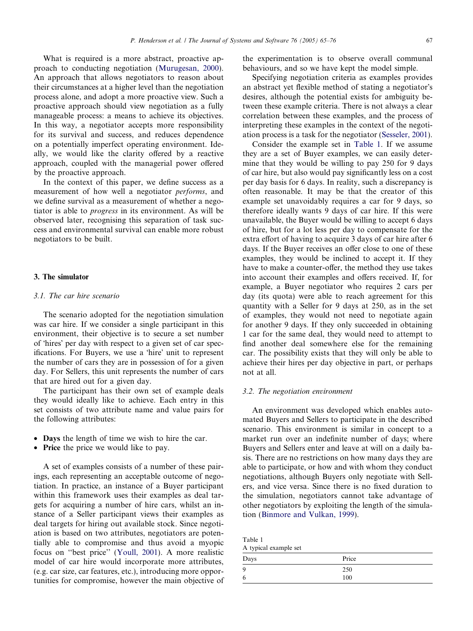What is required is a more abstract, proactive approach to conducting negotiation ([Murugesan, 2000\)](#page-11-0). An approach that allows negotiators to reason about their circumstances at a higher level than the negotiation process alone, and adopt a more proactive view. Such a proactive approach should view negotiation as a fully manageable process: a means to achieve its objectives. In this way, a negotiator accepts more responsibility for its survival and success, and reduces dependence on a potentially imperfect operating environment. Ideally, we would like the clarity offered by a reactive approach, coupled with the managerial power offered by the proactive approach.

In the context of this paper, we define success as a measurement of how well a negotiator performs, and we define survival as a measurement of whether a negotiator is able to progress in its environment. As will be observed later, recognising this separation of task success and environmental survival can enable more robust negotiators to be built.

#### 3. The simulator

#### 3.1. The car hire scenario

The scenario adopted for the negotiation simulation was car hire. If we consider a single participant in this environment, their objective is to secure a set number of 'hires' per day with respect to a given set of car specifications. For Buyers, we use a 'hire' unit to represent the number of cars they are in possession of for a given day. For Sellers, this unit represents the number of cars that are hired out for a given day.

The participant has their own set of example deals they would ideally like to achieve. Each entry in this set consists of two attribute name and value pairs for the following attributes:

- Days the length of time we wish to hire the car.
- Price the price we would like to pay.

A set of examples consists of a number of these pairings, each representing an acceptable outcome of negotiation. In practice, an instance of a Buyer participant within this framework uses their examples as deal targets for acquiring a number of hire cars, whilst an instance of a Seller participant views their examples as deal targets for hiring out available stock. Since negotiation is based on two attributes, negotiators are potentially able to compromise and thus avoid a myopic focus on ''best price'' [\(Youll, 2001\)](#page-11-0). A more realistic model of car hire would incorporate more attributes, (e.g. car size, car features, etc.), introducing more opportunities for compromise, however the main objective of the experimentation is to observe overall communal behaviours, and so we have kept the model simple.

Specifying negotiation criteria as examples provides an abstract yet flexible method of stating a negotiator's desires, although the potential exists for ambiguity between these example criteria. There is not always a clear correlation between these examples, and the process of interpreting these examples in the context of the negotiation process is a task for the negotiator ([Sesseler, 2001\)](#page-11-0).

Consider the example set in Table 1. If we assume they are a set of Buyer examples, we can easily determine that they would be willing to pay 250 for 9 days of car hire, but also would pay significantly less on a cost per day basis for 6 days. In reality, such a discrepancy is often reasonable. It may be that the creator of this example set unavoidably requires a car for 9 days, so therefore ideally wants 9 days of car hire. If this were unavailable, the Buyer would be willing to accept 6 days of hire, but for a lot less per day to compensate for the extra effort of having to acquire 3 days of car hire after 6 days. If the Buyer receives an offer close to one of these examples, they would be inclined to accept it. If they have to make a counter-offer, the method they use takes into account their examples and offers received. If, for example, a Buyer negotiator who requires 2 cars per day (its quota) were able to reach agreement for this quantity with a Seller for 9 days at 250, as in the set of examples, they would not need to negotiate again for another 9 days. If they only succeeded in obtaining 1 car for the same deal, they would need to attempt to find another deal somewhere else for the remaining car. The possibility exists that they will only be able to achieve their hires per day objective in part, or perhaps not at all.

#### 3.2. The negotiation environment

An environment was developed which enables automated Buyers and Sellers to participate in the described scenario. This environment is similar in concept to a market run over an indefinite number of days; where Buyers and Sellers enter and leave at will on a daily basis. There are no restrictions on how many days they are able to participate, or how and with whom they conduct negotiations, although Buyers only negotiate with Sellers, and vice versa. Since there is no fixed duration to the simulation, negotiators cannot take advantage of other negotiators by exploiting the length of the simulation [\(Binmore and Vulkan, 1999](#page-11-0)).

Table 1

| A typical example set |       |
|-----------------------|-------|
| Days                  | Price |
|                       | 250   |
|                       | 100   |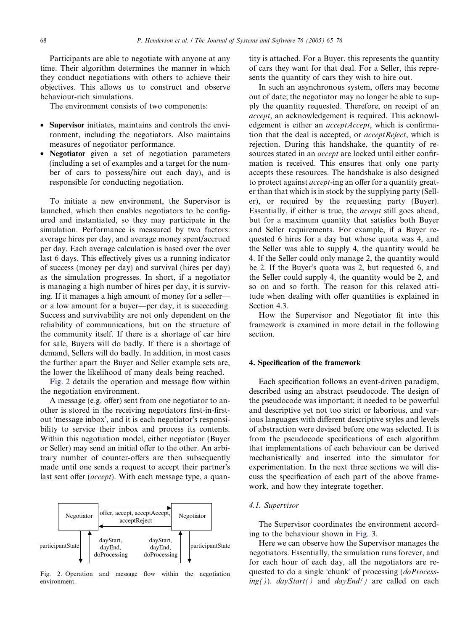Participants are able to negotiate with anyone at any time. Their algorithm determines the manner in which they conduct negotiations with others to achieve their objectives. This allows us to construct and observe behaviour-rich simulations.

The environment consists of two components:

- Supervisor initiates, maintains and controls the environment, including the negotiators. Also maintains measures of negotiator performance.
- Negotiator given a set of negotiation parameters (including a set of examples and a target for the number of cars to possess/hire out each day), and is responsible for conducting negotiation.

To initiate a new environment, the Supervisor is launched, which then enables negotiators to be configured and instantiated, so they may participate in the simulation. Performance is measured by two factors: average hires per day, and average money spent/accrued per day. Each average calculation is based over the over last 6 days. This effectively gives us a running indicator of success (money per day) and survival (hires per day) as the simulation progresses. In short, if a negotiator is managing a high number of hires per day, it is surviving. If it manages a high amount of money for a seller–– or a low amount for a buyer––per day, it is succeeding. Success and survivability are not only dependent on the reliability of communications, but on the structure of the community itself. If there is a shortage of car hire for sale, Buyers will do badly. If there is a shortage of demand, Sellers will do badly. In addition, in most cases the further apart the Buyer and Seller example sets are, the lower the likelihood of many deals being reached.

Fig. 2 details the operation and message flow within the negotiation environment.

A message (e.g. offer) sent from one negotiator to another is stored in the receiving negotiators first-in-firstout 'message inbox', and it is each negotiator's responsibility to service their inbox and process its contents. Within this negotiation model, either negotiator (Buyer or Seller) may send an initial offer to the other. An arbitrary number of counter-offers are then subsequently made until one sends a request to accept their partner's last sent offer *(accept)*. With each message type, a quan-



Fig. 2. Operation and message flow within the negotiation environment.

tity is attached. For a Buyer, this represents the quantity of cars they want for that deal. For a Seller, this represents the quantity of cars they wish to hire out.

In such an asynchronous system, offers may become out of date; the negotiator may no longer be able to supply the quantity requested. Therefore, on receipt of an accept, an acknowledgement is required. This acknowledgement is either an *acceptAccept*, which is confirmation that the deal is accepted, or acceptReject, which is rejection. During this handshake, the quantity of resources stated in an *accept* are locked until either confirmation is received. This ensures that only one party accepts these resources. The handshake is also designed to protect against accept-ing an offer for a quantity greater than that which is in stock by the supplying party (Seller), or required by the requesting party (Buyer). Essentially, if either is true, the accept still goes ahead, but for a maximum quantity that satisfies both Buyer and Seller requirements. For example, if a Buyer requested 6 hires for a day but whose quota was 4, and the Seller was able to supply 4, the quantity would be 4. If the Seller could only manage 2, the quantity would be 2. If the Buyer's quota was 2, but requested 6, and the Seller could supply 4, the quantity would be 2, and so on and so forth. The reason for this relaxed attitude when dealing with offer quantities is explained in Section 4.3.

How the Supervisor and Negotiator fit into this framework is examined in more detail in the following section.

#### 4. Specification of the framework

Each specification follows an event-driven paradigm, described using an abstract pseudocode. The design of the pseudocode was important; it needed to be powerful and descriptive yet not too strict or laborious, and various languages with different descriptive styles and levels of abstraction were devised before one was selected. It is from the pseudocode specifications of each algorithm that implementations of each behaviour can be derived mechanistically and inserted into the simulator for experimentation. In the next three sections we will discuss the specification of each part of the above framework, and how they integrate together.

## 4.1. Supervisor

The Supervisor coordinates the environment according to the behaviour shown in [Fig. 3.](#page-4-0)

Here we can observe how the Supervisor manages the negotiators. Essentially, the simulation runs forever, and for each hour of each day, all the negotiators are requested to do a single 'chunk' of processing (*doProcess* $ing()$ ).  $dayStart()$  and  $dayEnd()$  are called on each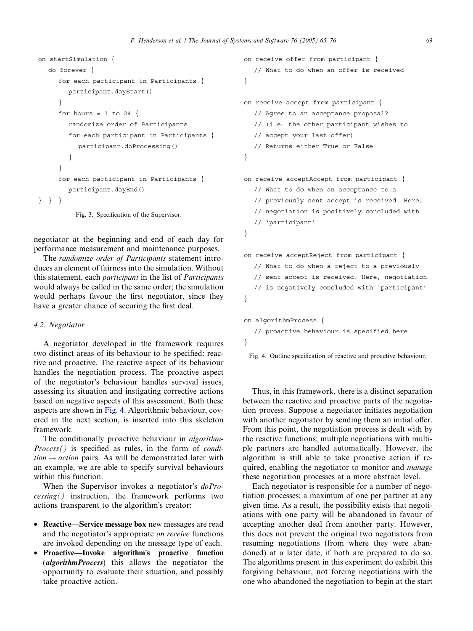```
on startSimulation { 
   do forever { 
      for each participant in Participants { 
         participant.dayStart() 
       } 
      for hours = 1 to 24 {
         randomize order of Participants 
         for each participant in Participants { 
            participant.doProcessing() 
         } 
       } 
       for each participant in Participants { 
         participant.dayEnd() 
} } }
```
Fig. 3. Specification of the Supervisor.

negotiator at the beginning and end of each day for performance measurement and maintenance purposes.

The *randomize order of Participants* statement introduces an element of fairness into the simulation. Without this statement, each participant in the list of Participants would always be called in the same order; the simulation would perhaps favour the first negotiator, since they have a greater chance of securing the first deal.

## 4.2. Negotiator

A negotiator developed in the framework requires two distinct areas of its behaviour to be specified: reactive and proactive. The reactive aspect of its behaviour handles the negotiation process. The proactive aspect of the negotiator's behaviour handles survival issues, assessing its situation and instigating corrective actions based on negative aspects of this assessment. Both these aspects are shown in Fig. 4. Algorithmic behaviour, covered in the next section, is inserted into this skeleton framework.

The conditionally proactive behaviour in *algorithm*-Process() is specified as rules, in the form of condition  $\rightarrow$  action pairs. As will be demonstrated later with an example, we are able to specify survival behaviours within this function.

When the Supervisor invokes a negotiator's  $doPro$ cessing() instruction, the framework performs two actions transparent to the algorithm's creator:

- Reactive—Service message box new messages are read and the negotiator's appropriate *on receive* functions are invoked depending on the message type of each.
- Proactive—Invoke algorithm's proactive function (algorithmProcess) this allows the negotiator the opportunity to evaluate their situation, and possibly take proactive action.

```
on receive offer from participant { 
    // What to do when an offer is received 
} 
on receive accept from participant { 
   // Agree to an acceptance proposal? 
   // (i.e. the other participant wishes to 
   // accept your last offer) 
    // Returns either True or False 
} 
on receive acceptAccept from participant { 
    // What to do when an acceptance to a 
   // previously sent accept is received. Here, 
  // negotiation is positively concluded with 
   // 'participant'
```

```
}
```

```
on receive acceptReject from participant {
```
// What to do when a reject to a previously

```
 // sent accept is received. Here, negotiation
```
 // is negatively concluded with 'participant' }

on algorithmProcess {

```
 // proactive behaviour is specified here 
}
```
Fig. 4. Outline specification of reactive and proactive behaviour.

Thus, in this framework, there is a distinct separation between the reactive and proactive parts of the negotiation process. Suppose a negotiator initiates negotiation with another negotiator by sending them an initial offer. From this point, the negotiation process is dealt with by the reactive functions; multiple negotiations with multiple partners are handled automatically. However, the algorithm is still able to take proactive action if required, enabling the negotiator to monitor and manage these negotiation processes at a more abstract level.

Each negotiator is responsible for a number of negotiation processes; a maximum of one per partner at any given time. As a result, the possibility exists that negotiations with one party will be abandoned in favour of accepting another deal from another party. However, this does not prevent the original two negotiators from resuming negotiations (from where they were abandoned) at a later date, if both are prepared to do so. The algorithms present in this experiment do exhibit this forgiving behaviour, not forcing negotiations with the one who abandoned the negotiation to begin at the start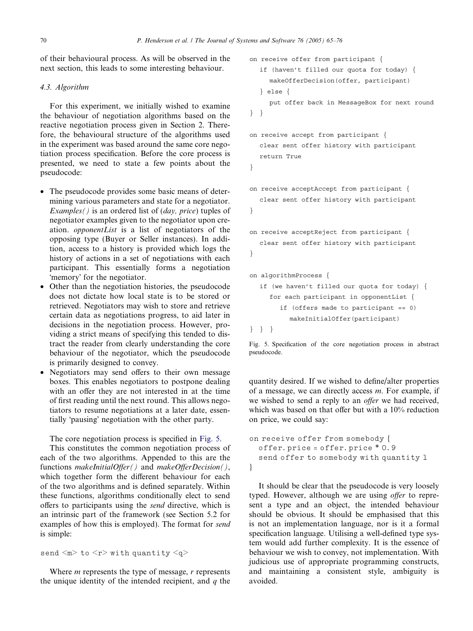of their behavioural process. As will be observed in the next section, this leads to some interesting behaviour.

#### 4.3. Algorithm

For this experiment, we initially wished to examine the behaviour of negotiation algorithms based on the reactive negotiation process given in Section 2. Therefore, the behavioural structure of the algorithms used in the experiment was based around the same core negotiation process specification. Before the core process is presented, we need to state a few points about the pseudocode:

- The pseudocode provides some basic means of determining various parameters and state for a negotiator. *Examples()* is an ordered list of  $(day, price)$  tuples of negotiator examples given to the negotiator upon creation. opponentList is a list of negotiators of the opposing type (Buyer or Seller instances). In addition, access to a history is provided which logs the history of actions in a set of negotiations with each participant. This essentially forms a negotiation -memory for the negotiator.
- Other than the negotiation histories, the pseudocode does not dictate how local state is to be stored or retrieved. Negotiators may wish to store and retrieve certain data as negotiations progress, to aid later in decisions in the negotiation process. However, providing a strict means of specifying this tended to distract the reader from clearly understanding the core behaviour of the negotiator, which the pseudocode is primarily designed to convey.
- Negotiators may send offers to their own message boxes. This enables negotiators to postpone dealing with an offer they are not interested in at the time of first reading until the next round. This allows negotiators to resume negotiations at a later date, essentially 'pausing' negotiation with the other party.

The core negotiation process is specified in Fig. 5.

This constitutes the common negotiation process of each of the two algorithms. Appended to this are the functions  $makeInitialOffer()$  and  $makeOfferDecision(),$ which together form the different behaviour for each of the two algorithms and is defined separately. Within these functions, algorithms conditionally elect to send offers to participants using the send directive, which is an intrinsic part of the framework (see Section 5.2 for examples of how this is employed). The format for send is simple:

```
send \langle m \rangle to \langle r \rangle with quantity \langle q \rangle
```
Where  $m$  represents the type of message,  $r$  represents the unique identity of the intended recipient, and  $q$  the

```
on receive offer from participant { 
   if (haven't filled our quota for today) { 
      makeOfferDecision(offer, participant) 
  } else { 
      put offer back in MessageBox for next round 
} } 
on receive accept from participant { 
  clear sent offer history with participant 
  return True 
} 
on receive acceptAccept from participant { 
  clear sent offer history with participant 
} 
on receive acceptReject from participant { 
  clear sent offer history with participant 
} 
on algorithmProcess { 
  if (we haven't filled our quota for today) { 
     for each participant in opponentList {
         if (offers made to participant == 0) 
            makeInitialOffer(participant) 
} } }
```
Fig. 5. Specification of the core negotiation process in abstract pseudocode.

quantity desired. If we wished to define/alter properties of a message, we can directly access  $m$ . For example, if we wished to send a reply to an *offer* we had received, which was based on that offer but with a 10% reduction on price, we could say:

```
on receive offer from somebody {
  offer.price = offer.price * 0.9
  send offer to somebody with quantity 1
}
```
It should be clear that the pseudocode is very loosely typed. However, although we are using offer to represent a type and an object, the intended behaviour should be obvious. It should be emphasised that this is not an implementation language, nor is it a formal specification language. Utilising a well-defined type system would add further complexity. It is the essence of behaviour we wish to convey, not implementation. With judicious use of appropriate programming constructs, and maintaining a consistent style, ambiguity is avoided.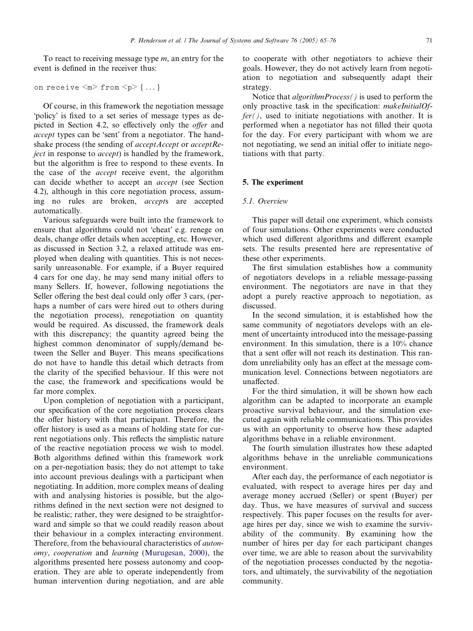To react to receiving message type  $m$ , an entry for the event is defined in the receiver thus:

```
on receive \leq m from \leq p { ... }
```
Of course, in this framework the negotiation message -policy is fixed to a set series of message types as depicted in Section 4.2, so effectively only the offer and accept types can be 'sent' from a negotiator. The handshake process (the sending of *acceptAccept* or *acceptRe*ject in response to *accept*) is handled by the framework, but the algorithm is free to respond to these events. In the case of the accept receive event, the algorithm can decide whether to accept an accept (see Section 4.2), although in this core negotiation process, assuming no rules are broken, accepts are accepted automatically.

Various safeguards were built into the framework to ensure that algorithms could not 'cheat' e.g. renege on deals, change offer details when accepting, etc. However, as discussed in Section 3.2, a relaxed attitude was employed when dealing with quantities. This is not necessarily unreasonable. For example, if a Buyer required 4 cars for one day, he may send many initial offers to many Sellers. If, however, following negotiations the Seller offering the best deal could only offer 3 cars, (perhaps a number of cars were hired out to others during the negotiation process), renegotiation on quantity would be required. As discussed, the framework deals with this discrepancy; the quantity agreed being the highest common denominator of supply/demand between the Seller and Buyer. This means specifications do not have to handle this detail which detracts from the clarity of the specified behaviour. If this were not the case, the framework and specifications would be far more complex.

Upon completion of negotiation with a participant, our specification of the core negotiation process clears the offer history with that participant. Therefore, the offer history is used as a means of holding state for current negotiations only. This reflects the simplistic nature of the reactive negotiation process we wish to model. Both algorithms defined within this framework work on a per-negotiation basis; they do not attempt to take into account previous dealings with a participant when negotiating. In addition, more complex means of dealing with and analysing histories is possible, but the algorithms defined in the next section were not designed to be realistic; rather, they were designed to be straightforward and simple so that we could readily reason about their behaviour in a complex interacting environment. Therefore, from the behavioural characteristics of autonomy, cooperation and learning [\(Murugesan, 2000\)](#page-11-0), the algorithms presented here possess autonomy and cooperation. They are able to operate independently from human intervention during negotiation, and are able

to cooperate with other negotiators to achieve their goals. However, they do not actively learn from negotiation to negotiation and subsequently adapt their strategy.

Notice that algorithmProcess() is used to perform the only proactive task in the specification: makeInitialOf $fer()$ , used to initiate negotiations with another. It is performed when a negotiator has not filled their quota for the day. For every participant with whom we are not negotiating, we send an initial offer to initiate negotiations with that party.

## 5. The experiment

#### 5.1. Overview

This paper will detail one experiment, which consists of four simulations. Other experiments were conducted which used different algorithms and different example sets. The results presented here are representative of these other experiments.

The first simulation establishes how a community of negotiators develops in a reliable message-passing environment. The negotiators are nave in that they adopt a purely reactive approach to negotiation, as discussed.

In the second simulation, it is established how the same community of negotiators develops with an element of uncertainty introduced into the message-passing environment. In this simulation, there is a 10% chance that a sent offer will not reach its destination. This random unreliability only has an effect at the message communication level. Connections between negotiators are unaffected.

For the third simulation, it will be shown how each algorithm can be adapted to incorporate an example proactive survival behaviour, and the simulation executed again with reliable communications. This provides us with an opportunity to observe how these adapted algorithms behave in a reliable environment.

The fourth simulation illustrates how these adapted algorithms behave in the unreliable communications environment.

After each day, the performance of each negotiator is evaluated, with respect to average hires per day and average money accrued (Seller) or spent (Buyer) per day. Thus, we have measures of survival and success respectively. This paper focuses on the results for average hires per day, since we wish to examine the survivability of the community. By examining how the number of hires per day for each participant changes over time, we are able to reason about the survivability of the negotiation processes conducted by the negotiators, and ultimately, the survivability of the negotiation community.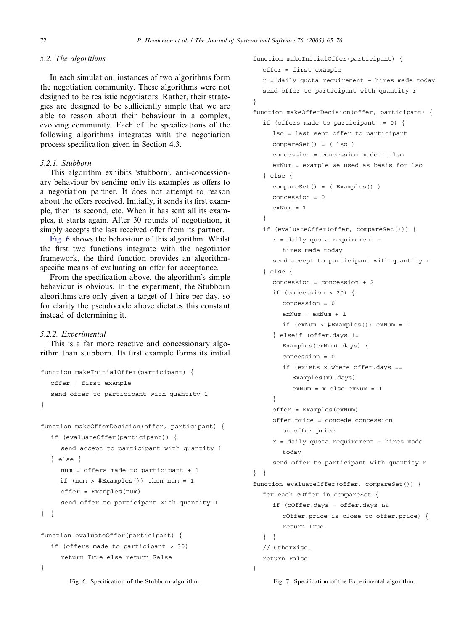## <span id="page-7-0"></span>5.2. The algorithms

In each simulation, instances of two algorithms form the negotiation community. These algorithms were not designed to be realistic negotiators. Rather, their strategies are designed to be sufficiently simple that we are able to reason about their behaviour in a complex, evolving community. Each of the specifications of the following algorithms integrates with the negotiation process specification given in Section 4.3.

#### 5.2.1. Stubborn

This algorithm exhibits 'stubborn', anti-concessionary behaviour by sending only its examples as offers to a negotiation partner. It does not attempt to reason about the offers received. Initially, it sends its first example, then its second, etc. When it has sent all its examples, it starts again. After 30 rounds of negotiation, it simply accepts the last received offer from its partner.

Fig. 6 shows the behaviour of this algorithm. Whilst the first two functions integrate with the negotiator framework, the third function provides an algorithmspecific means of evaluating an offer for acceptance.

From the specification above, the algorithm's simple behaviour is obvious. In the experiment, the Stubborn algorithms are only given a target of 1 hire per day, so for clarity the pseudocode above dictates this constant instead of determining it.

#### 5.2.2. Experimental

This is a far more reactive and concessionary algorithm than stubborn. Its first example forms its initial

```
function makeInitialOffer(participant) { 
   offer = first example 
   send offer to participant with quantity 1 
}
```

```
function makeOfferDecision(offer, participant) { 
   if (evaluateOffer(participant)) { 
      send accept to participant with quantity 1 
   } else { 
      num = offers made to participant + 1 
      if (num > #Examples()) then num = 1 
      offer = Examples(num) 
      send offer to participant with quantity 1 
} }
```

```
function evaluateOffer(participant) { 
   if (offers made to participant > 30) 
      return True else return False
```

```
}
```
Fig. 6. Specification of the Stubborn algorithm.

```
function makeInitialOffer(participant) {
  offer = first example
  r = daily quota requirement – hires made today
  send offer to participant with quantity r
}
function makeOfferDecision(offer, participant) {
  if (offers made to participant != 0) {
     lso = last sent offer to participant
     compareSet() = ( lso )concession = concession made in lso
     exNum = example we used as basis for lso
   } else {
     compareSet() = ( Examples() )
     concession = 0
     exNum = 1}
  if (evaluateOffer(offer, compareSet())) {
     r = daily quota requirement -
        hires made today
     send accept to participant with quantity r
   } else {
     concession = concession + 2
     if (concession > 20) {
        concession = 0
        exNum = exNum + 1if (exNum > #Examples()) exNum = 1
     } elseif (offer.days !=
        Examples(exNum).days) {
        concession = 0
        if (exists x where offer.days == 
          Examples(x).days)
          exNum = x else exNum = 1
     }
     offer = Examples(exNum)
     offer.price = concede concession
        on offer.price
     r = daily quota requirement – hires made 
        today
     send offer to participant with quantity r
} }
function evaluateOffer(offer, compareSet()) {
  for each cOffer in compareSet {
     if (cOffer.days = offer.days &&
        cOffer.price is close to offer.price) {
        return True
  } }
  // Otherwise…
  return False
}
```

```
Fig. 7. Specification of the Experimental algorithm.
```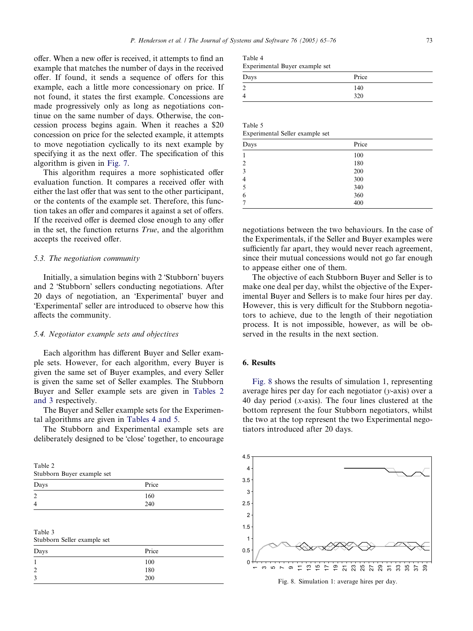$\overline{a}$  .

offer. When a new offer is received, it attempts to find an example that matches the number of days in the received offer. If found, it sends a sequence of offers for this example, each a little more concessionary on price. If not found, it states the first example. Concessions are made progressively only as long as negotiations continue on the same number of days. Otherwise, the concession process begins again. When it reaches a \$20 concession on price for the selected example, it attempts to move negotiation cyclically to its next example by specifying it as the next offer. The specification of this algorithm is given in [Fig. 7](#page-7-0).

This algorithm requires a more sophisticated offer evaluation function. It compares a received offer with either the last offer that was sent to the other participant, or the contents of the example set. Therefore, this function takes an offer and compares it against a set of offers. If the received offer is deemed close enough to any offer in the set, the function returns True, and the algorithm accepts the received offer.

## 5.3. The negotiation community

Initially, a simulation begins with 2 'Stubborn' buyers and 2 'Stubborn' sellers conducting negotiations. After 20 days of negotiation, an 'Experimental' buyer and 'Experimental' seller are introduced to observe how this affects the community.

## 5.4. Negotiator example sets and objectives

Each algorithm has different Buyer and Seller example sets. However, for each algorithm, every Buyer is given the same set of Buyer examples, and every Seller is given the same set of Seller examples. The Stubborn Buyer and Seller example sets are given in Tables 2 and 3 respectively.

The Buyer and Seller example sets for the Experimental algorithms are given in Tables 4 and 5.

The Stubborn and Experimental example sets are deliberately designed to be 'close' together, to encourage

| Table 2<br>Stubborn Buyer example set |       |  |
|---------------------------------------|-------|--|
| Days                                  | Price |  |
| $\overline{2}$                        | 160   |  |
| $\overline{4}$                        | 240   |  |

Table 3 Stubborn Seller example set

| prupoorii pener example set |       |  |
|-----------------------------|-------|--|
| Days                        | Price |  |
|                             | 100   |  |
|                             | 180   |  |
|                             | 200   |  |

Table 4 Experimental Buyer example set

| Days           | Price |
|----------------|-------|
| $\overline{2}$ | 140   |
| $\overline{4}$ | 320   |

| rable 5                         |  |  |
|---------------------------------|--|--|
| Experimental Seller example set |  |  |

| Days           | Price |
|----------------|-------|
|                | 100   |
| $\overline{c}$ | 180   |
| 3              | 200   |
| 4              | 300   |
| 5              | 340   |
| 6              | 360   |
|                | 400   |

negotiations between the two behaviours. In the case of the Experimentals, if the Seller and Buyer examples were sufficiently far apart, they would never reach agreement, since their mutual concessions would not go far enough to appease either one of them.

The objective of each Stubborn Buyer and Seller is to make one deal per day, whilst the objective of the Experimental Buyer and Sellers is to make four hires per day. However, this is very difficult for the Stubborn negotiators to achieve, due to the length of their negotiation process. It is not impossible, however, as will be observed in the results in the next section.

# 6. Results

Fig. 8 shows the results of simulation 1, representing average hires per day for each negotiator  $(v\text{-axis})$  over a 40 day period  $(x-axis)$ . The four lines clustered at the bottom represent the four Stubborn negotiators, whilst the two at the top represent the two Experimental negotiators introduced after 20 days.



Fig. 8. Simulation 1: average hires per day.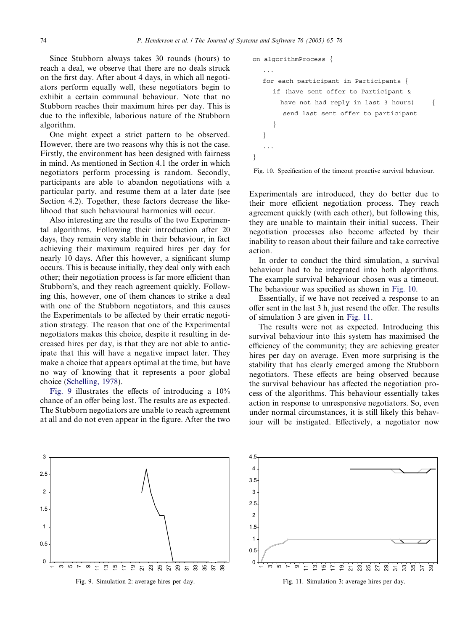Since Stubborn always takes 30 rounds (hours) to reach a deal, we observe that there are no deals struck on the first day. After about 4 days, in which all negotiators perform equally well, these negotiators begin to exhibit a certain communal behaviour. Note that no Stubborn reaches their maximum hires per day. This is due to the inflexible, laborious nature of the Stubborn algorithm.

One might expect a strict pattern to be observed. However, there are two reasons why this is not the case. Firstly, the environment has been designed with fairness in mind. As mentioned in Section 4.1 the order in which negotiators perform processing is random. Secondly, participants are able to abandon negotiations with a particular party, and resume them at a later date (see Section 4.2). Together, these factors decrease the likelihood that such behavioural harmonics will occur.

Also interesting are the results of the two Experimental algorithms. Following their introduction after 20 days, they remain very stable in their behaviour, in fact achieving their maximum required hires per day for nearly 10 days. After this however, a significant slump occurs. This is because initially, they deal only with each other; their negotiation process is far more efficient than Stubborn's, and they reach agreement quickly. Following this, however, one of them chances to strike a deal with one of the Stubborn negotiators, and this causes the Experimentals to be affected by their erratic negotiation strategy. The reason that one of the Experimental negotiators makes this choice, despite it resulting in decreased hires per day, is that they are not able to anticipate that this will have a negative impact later. They make a choice that appears optimal at the time, but have no way of knowing that it represents a poor global choice [\(Schelling, 1978](#page-11-0)).

Fig. 9 illustrates the effects of introducing a 10% chance of an offer being lost. The results are as expected. The Stubborn negotiators are unable to reach agreement at all and do not even appear in the figure. After the two

```
on algorithmProcess {
  for each participant in Participants {
     if (have sent offer to Participant &
       have not had reply in last 3 hours) {
        send last sent offer to participant
     }
  }
   ...
}
```
Fig. 10. Specification of the timeout proactive survival behaviour.

Experimentals are introduced, they do better due to their more efficient negotiation process. They reach agreement quickly (with each other), but following this, they are unable to maintain their initial success. Their negotiation processes also become affected by their inability to reason about their failure and take corrective action.

In order to conduct the third simulation, a survival behaviour had to be integrated into both algorithms. The example survival behaviour chosen was a timeout. The behaviour was specified as shown in Fig. 10.

Essentially, if we have not received a response to an offer sent in the last 3 h, just resend the offer. The results of simulation 3 are given in Fig. 11.

The results were not as expected. Introducing this survival behaviour into this system has maximised the efficiency of the community; they are achieving greater hires per day on average. Even more surprising is the stability that has clearly emerged among the Stubborn negotiators. These effects are being observed because the survival behaviour has affected the negotiation process of the algorithms. This behaviour essentially takes action in response to unresponsive negotiators. So, even under normal circumstances, it is still likely this behaviour will be instigated. Effectively, a negotiator now



Fig. 9. Simulation 2: average hires per day.



Fig. 11. Simulation 3: average hires per day.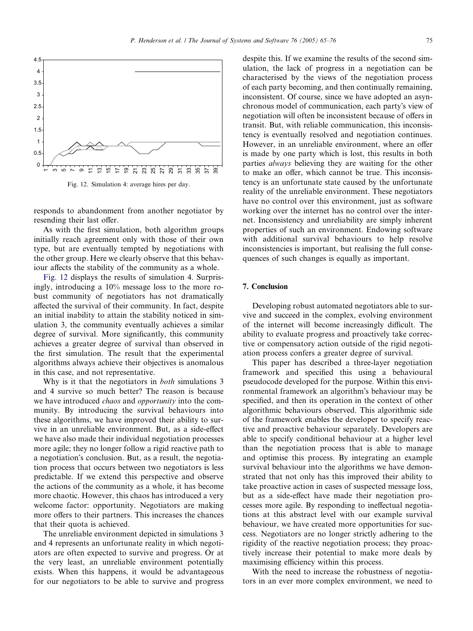

responds to abandonment from another negotiator by resending their last offer.

As with the first simulation, both algorithm groups initially reach agreement only with those of their own type, but are eventually tempted by negotiations with the other group. Here we clearly observe that this behaviour affects the stability of the community as a whole.

Fig. 12 displays the results of simulation 4. Surprisingly, introducing a 10% message loss to the more robust community of negotiators has not dramatically affected the survival of their community. In fact, despite an initial inability to attain the stability noticed in simulation 3, the community eventually achieves a similar degree of survival. More significantly, this community achieves a greater degree of survival than observed in the first simulation. The result that the experimental algorithms always achieve their objectives is anomalous in this case, and not representative.

Why is it that the negotiators in *both* simulations 3 and 4 survive so much better? The reason is because we have introduced chaos and opportunity into the community. By introducing the survival behaviours into these algorithms, we have improved their ability to survive in an unreliable environment. But, as a side-effect we have also made their individual negotiation processes more agile; they no longer follow a rigid reactive path to a negotiation's conclusion. But, as a result, the negotiation process that occurs between two negotiators is less predictable. If we extend this perspective and observe the actions of the community as a whole, it has become more chaotic. However, this chaos has introduced a very welcome factor: opportunity. Negotiators are making more offers to their partners. This increases the chances that their quota is achieved.

The unreliable environment depicted in simulations 3 and 4 represents an unfortunate reality in which negotiators are often expected to survive and progress. Or at the very least, an unreliable environment potentially exists. When this happens, it would be advantageous for our negotiators to be able to survive and progress despite this. If we examine the results of the second simulation, the lack of progress in a negotiation can be characterised by the views of the negotiation process of each party becoming, and then continually remaining, inconsistent. Of course, since we have adopted an asynchronous model of communication, each partys view of negotiation will often be inconsistent because of offers in transit. But, with reliable communication, this inconsistency is eventually resolved and negotiation continues. However, in an unreliable environment, where an offer is made by one party which is lost, this results in both parties always believing they are waiting for the other to make an offer, which cannot be true. This inconsistency is an unfortunate state caused by the unfortunate reality of the unreliable environment. These negotiators have no control over this environment, just as software working over the internet has no control over the internet. Inconsistency and unreliability are simply inherent properties of such an environment. Endowing software with additional survival behaviours to help resolve inconsistencies is important, but realising the full consequences of such changes is equally as important.

## 7. Conclusion

Developing robust automated negotiators able to survive and succeed in the complex, evolving environment of the internet will become increasingly difficult. The ability to evaluate progress and proactively take corrective or compensatory action outside of the rigid negotiation process confers a greater degree of survival.

This paper has described a three-layer negotiation framework and specified this using a behavioural pseudocode developed for the purpose. Within this environmental framework an algorithm's behaviour may be specified, and then its operation in the context of other algorithmic behaviours observed. This algorithmic side of the framework enables the developer to specify reactive and proactive behaviour separately. Developers are able to specify conditional behaviour at a higher level than the negotiation process that is able to manage and optimise this process. By integrating an example survival behaviour into the algorithms we have demonstrated that not only has this improved their ability to take proactive action in cases of suspected message loss, but as a side-effect have made their negotiation processes more agile. By responding to ineffectual negotiations at this abstract level with our example survival behaviour, we have created more opportunities for success. Negotiators are no longer strictly adhering to the rigidity of the reactive negotiation process; they proactively increase their potential to make more deals by maximising efficiency within this process.

With the need to increase the robustness of negotiators in an ever more complex environment, we need to